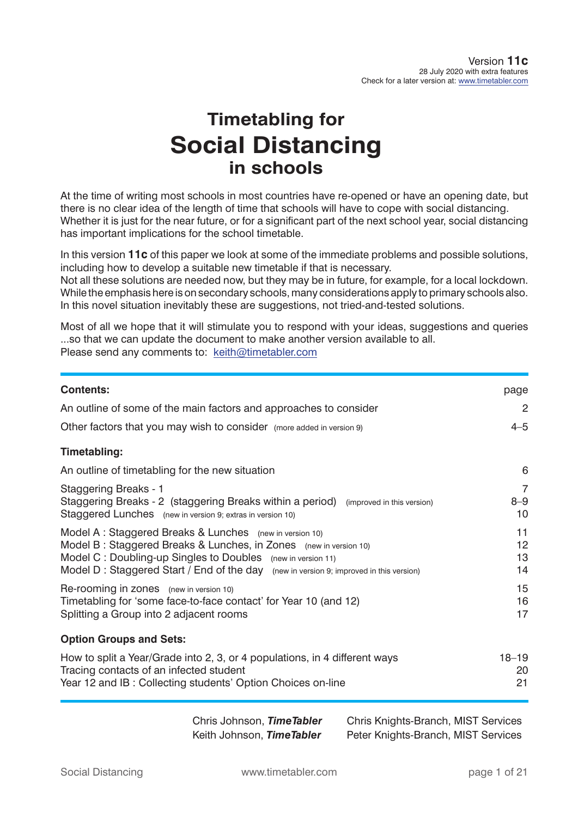# **Timetabling for Social Distancing in schools**

At the time of writing most schools in most countries have re-opened or have an opening date, but there is no clear idea of the length of time that schools will have to cope with social distancing. Whether it is just for the near future, or for a significant part of the next school year, social distancing has important implications for the school timetable.

In this version **11c** of this paper we look at some of the immediate problems and possible solutions, including how to develop a suitable new timetable if that is necessary.

Not all these solutions are needed now, but they may be in future, for example, for a local lockdown. While the emphasis here is on secondary schools, many considerations apply to primary schools also. In this novel situation inevitably these are suggestions, not tried-and-tested solutions.

Most of all we hope that it will stimulate you to respond with your ideas, suggestions and queries ...so that we can update the document to make another version available to all. Please send any comments to: keith@timetabler.com

| <b>Contents:</b>                                                                                                                                                                                                                                                                      | page                  |
|---------------------------------------------------------------------------------------------------------------------------------------------------------------------------------------------------------------------------------------------------------------------------------------|-----------------------|
| An outline of some of the main factors and approaches to consider                                                                                                                                                                                                                     | 2                     |
| Other factors that you may wish to consider (more added in version 9)                                                                                                                                                                                                                 | $4 - 5$               |
| <b>Timetabling:</b>                                                                                                                                                                                                                                                                   |                       |
| An outline of timetabling for the new situation                                                                                                                                                                                                                                       | 6                     |
| <b>Staggering Breaks - 1</b><br>Staggering Breaks - 2 (staggering Breaks within a period) (improved in this version)<br>Staggered Lunches (new in version 9; extras in version 10)                                                                                                    | 7<br>$8 - 9$<br>10    |
| Model A: Staggered Breaks & Lunches (new in version 10)<br>Model B: Staggered Breaks & Lunches, in Zones (new in version 10)<br>Model C: Doubling-up Singles to Doubles (new in version 11)<br>Model D: Staggered Start / End of the day (new in version 9; improved in this version) | 11<br>12<br>13<br>14  |
| Re-rooming in zones (new in version 10)<br>Timetabling for 'some face-to-face contact' for Year 10 (and 12)<br>Splitting a Group into 2 adjacent rooms                                                                                                                                | 15<br>16<br>17        |
| <b>Option Groups and Sets:</b>                                                                                                                                                                                                                                                        |                       |
| How to split a Year/Grade into 2, 3, or 4 populations, in 4 different ways<br>Tracing contacts of an infected student<br>Year 12 and IB: Collecting students' Option Choices on-line                                                                                                  | $18 - 19$<br>20<br>21 |

 Chris Johnson, *TimeTabler* Chris Knights-Branch, MIST Services Keith Johnson, *TimeTabler* Peter Knights-Branch, MIST Services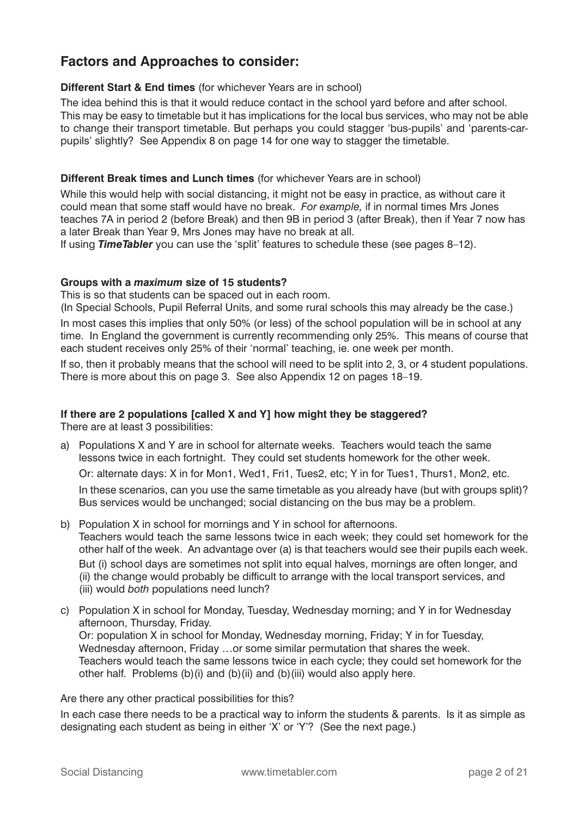# **Factors and Approaches to consider:**

### **Different Start & End times** (for whichever Years are in school)

The idea behind this is that it would reduce contact in the school yard before and after school. This may be easy to timetable but it has implications for the local bus services, who may not be able to change their transport timetable. But perhaps you could stagger 'bus-pupils' and 'parents-carpupils' slightly? See Appendix 8 on page 14 for one way to stagger the timetable.

### **Different Break times and Lunch times** (for whichever Years are in school)

While this would help with social distancing, it might not be easy in practice, as without care it could mean that some staff would have no break. *For example,* if in normal times Mrs Jones teaches 7A in period 2 (before Break) and then 9B in period 3 (after Break), then if Year 7 now has a later Break than Year 9, Mrs Jones may have no break at all.

If using *TimeTabler* you can use the 'split' features to schedule these (see pages 8–12).

### **Groups with a** *maximum* **size of 15 students?**

This is so that students can be spaced out in each room.

(In Special Schools, Pupil Referral Units, and some rural schools this may already be the case.) In most cases this implies that only 50% (or less) of the school population will be in school at any time. In England the government is currently recommending only 25%. This means of course that each student receives only 25% of their 'normal' teaching, ie. one week per month.

If so, then it probably means that the school will need to be split into 2, 3, or 4 student populations. There is more about this on page 3. See also Appendix 12 on pages 18–19.

### **If there are 2 populations [called X and Y] how might they be staggered?**

There are at least 3 possibilities:

a) Populations X and Y are in school for alternate weeks. Teachers would teach the same lessons twice in each fortnight. They could set students homework for the other week.

Or: alternate days: X in for Mon1, Wed1, Fri1, Tues2, etc; Y in for Tues1, Thurs1, Mon2, etc.

 In these scenarios, can you use the same timetable as you already have (but with groups split)? Bus services would be unchanged; social distancing on the bus may be a problem.

- b) Population X in school for mornings and Y in school for afternoons. Teachers would teach the same lessons twice in each week; they could set homework for the other half of the week. An advantage over (a) is that teachers would see their pupils each week. But (i) school days are sometimes not split into equal halves, mornings are often longer, and (ii) the change would probably be difficult to arrange with the local transport services, and (iii) would *both* populations need lunch?
- c) Population X in school for Monday, Tuesday, Wednesday morning; and Y in for Wednesday afternoon, Thursday, Friday. Or: population X in school for Monday, Wednesday morning, Friday; Y in for Tuesday, Wednesday afternoon, Friday …or some similar permutation that shares the week. Teachers would teach the same lessons twice in each cycle; they could set homework for the other half. Problems (b)(i) and (b)(ii) and (b)(iii) would also apply here.

Are there any other practical possibilities for this?

In each case there needs to be a practical way to inform the students & parents. Is it as simple as designating each student as being in either 'X' or 'Y'? (See the next page.)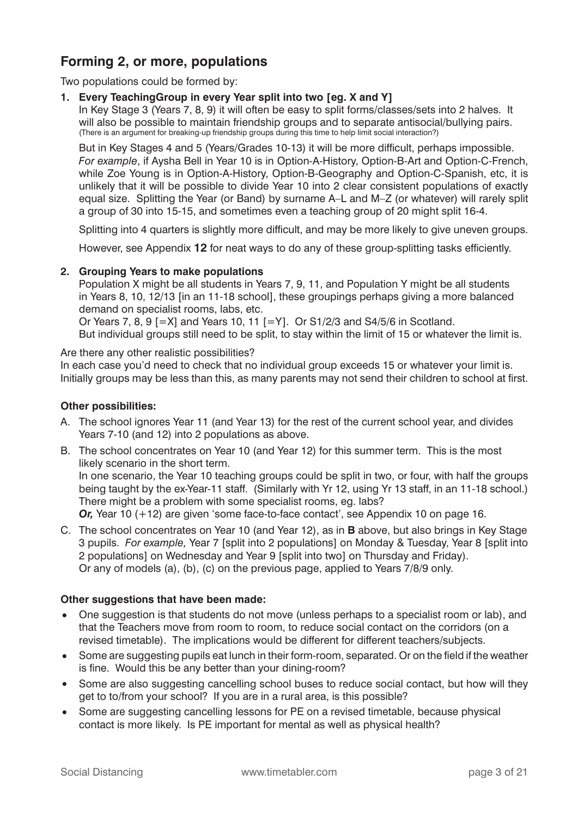# **Forming 2, or more, populations**

Two populations could be formed by:

#### **1. Every TeachingGroup in every Year split into two [eg. X and Y]**

 In Key Stage 3 (Years 7, 8, 9) it will often be easy to split forms/classes/sets into 2 halves. It will also be possible to maintain friendship groups and to separate antisocial/bullying pairs. (There is an argument for breaking-up friendship groups during this time to help limit social interaction?)

But in Key Stages 4 and 5 (Years/Grades 10-13) it will be more difficult, perhaps impossible. *For example*, if Aysha Bell in Year 10 is in Option-A-History, Option-B-Art and Option-C-French, while Zoe Young is in Option-A-History, Option-B-Geography and Option-C-Spanish, etc, it is unlikely that it will be possible to divide Year 10 into 2 clear consistent populations of exactly equal size. Splitting the Year (or Band) by surname A–L and M–Z (or whatever) will rarely split a group of 30 into 15-15, and sometimes even a teaching group of 20 might split 16-4.

Splitting into 4 quarters is slightly more difficult, and may be more likely to give uneven groups.

However, see Appendix 12 for neat ways to do any of these group-splitting tasks efficiently.

#### **2. Grouping Years to make populations**

 Population X might be all students in Years 7, 9, 11, and Population Y might be all students in Years 8, 10, 12/13 [in an 11-18 school], these groupings perhaps giving a more balanced demand on specialist rooms, labs, etc.

 Or Years 7, 8, 9 [=X] and Years 10, 11 [=Y]. Or S1/2/3 and S4/5/6 in Scotland. But individual groups still need to be split, to stay within the limit of 15 or whatever the limit is.

Are there any other realistic possibilities? In each case you'd need to check that no individual group exceeds 15 or whatever your limit is. Initially groups may be less than this, as many parents may not send their children to school at first.

#### **Other possibilities:**

- A. The school ignores Year 11 (and Year 13) for the rest of the current school year, and divides Years 7-10 (and 12) into 2 populations as above.
- B. The school concentrates on Year 10 (and Year 12) for this summer term. This is the most likely scenario in the short term. In one scenario, the Year 10 teaching groups could be split in two, or four, with half the groups

being taught by the ex-Year-11 staff. (Similarly with Yr 12, using Yr 13 staff, in an 11-18 school.) There might be a problem with some specialist rooms, eg. labs?

*Or,* Year 10 (+12) are given 'some face-to-face contact', see Appendix 10 on page 16.

C. The school concentrates on Year 10 (and Year 12), as in **B** above, but also brings in Key Stage 3 pupils. *For example,* Year 7 [split into 2 populations] on Monday & Tuesday, Year 8 [split into 2 populations] on Wednesday and Year 9 [split into two] on Thursday and Friday). Or any of models (a), (b), (c) on the previous page, applied to Years 7/8/9 only.

### **Other suggestions that have been made:**

- One suggestion is that students do not move (unless perhaps to a specialist room or lab), and that the Teachers move from room to room, to reduce social contact on the corridors (on a revised timetable). The implications would be different for different teachers/subjects.
- Some are suggesting pupils eat lunch in their form-room, separated. Or on the field if the weather is fine. Would this be any better than your dining-room?
- Some are also suggesting cancelling school buses to reduce social contact, but how will they get to to/from your school? If you are in a rural area, is this possible?
- Some are suggesting cancelling lessons for PE on a revised timetable, because physical contact is more likely. Is PE important for mental as well as physical health?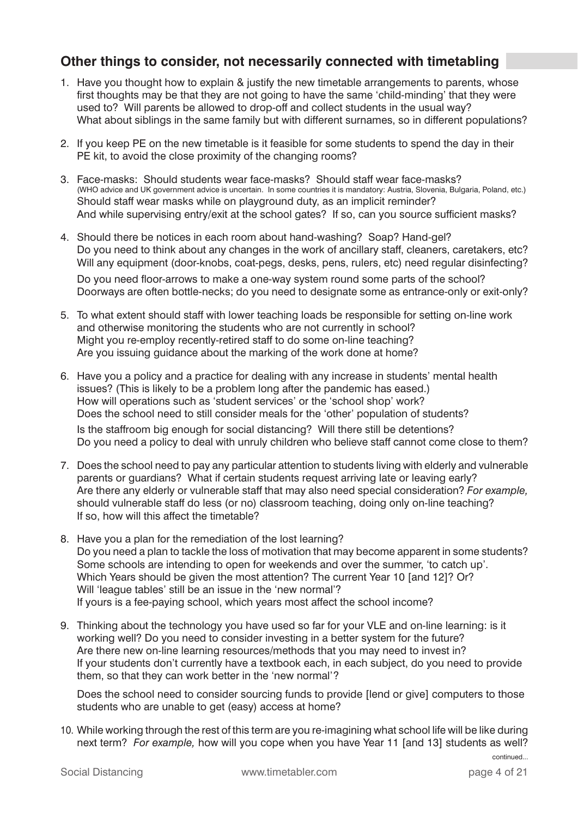# **Other things to consider, not necessarily connected with timetabling**

- 1. Have you thought how to explain & justify the new timetable arrangements to parents, whose first thoughts may be that they are not going to have the same 'child-minding' that they were used to? Will parents be allowed to drop-off and collect students in the usual way? What about siblings in the same family but with different surnames, so in different populations?
- 2. If you keep PE on the new timetable is it feasible for some students to spend the day in their PE kit, to avoid the close proximity of the changing rooms?
- 3. Face-masks: Should students wear face-masks? Should staff wear face-masks? (WHO advice and UK government advice is uncertain. In some countries it is mandatory: Austria, Slovenia, Bulgaria, Poland, etc.) Should staff wear masks while on playground duty, as an implicit reminder? And while supervising entry/exit at the school gates? If so, can you source sufficient masks?
- 4. Should there be notices in each room about hand-washing? Soap? Hand-gel? Do you need to think about any changes in the work of ancillary staff, cleaners, caretakers, etc? Will any equipment (door-knobs, coat-pegs, desks, pens, rulers, etc) need regular disinfecting?

Do you need floor-arrows to make a one-way system round some parts of the school? Doorways are often bottle-necks; do you need to designate some as entrance-only or exit-only?

- 5. To what extent should staff with lower teaching loads be responsible for setting on-line work and otherwise monitoring the students who are not currently in school? Might you re-employ recently-retired staff to do some on-line teaching? Are you issuing guidance about the marking of the work done at home?
- 6. Have you a policy and a practice for dealing with any increase in students' mental health issues? (This is likely to be a problem long after the pandemic has eased.) How will operations such as 'student services' or the 'school shop' work? Does the school need to still consider meals for the 'other' population of students? Is the staffroom big enough for social distancing? Will there still be detentions? Do you need a policy to deal with unruly children who believe staff cannot come close to them?
- 7. Does the school need to pay any particular attention to students living with elderly and vulnerable parents or guardians? What if certain students request arriving late or leaving early? Are there any elderly or vulnerable staff that may also need special consideration? *For example,* should vulnerable staff do less (or no) classroom teaching, doing only on-line teaching? If so, how will this affect the timetable?
- 8. Have you a plan for the remediation of the lost learning? Do you need a plan to tackle the loss of motivation that may become apparent in some students? Some schools are intending to open for weekends and over the summer, 'to catch up'. Which Years should be given the most attention? The current Year 10 [and 12]? Or? Will 'league tables' still be an issue in the 'new normal'? If yours is a fee-paying school, which years most affect the school income?
- 9. Thinking about the technology you have used so far for your VLE and on-line learning: is it working well? Do you need to consider investing in a better system for the future? Are there new on-line learning resources/methods that you may need to invest in? If your students don't currently have a textbook each, in each subject, do you need to provide them, so that they can work better in the 'new normal'?

 Does the school need to consider sourcing funds to provide [lend or give] computers to those students who are unable to get (easy) access at home?

10. While working through the rest of this term are you re-imagining what school life will be like during next term? *For example,* how will you cope when you have Year 11 [and 13] students as well?

continued...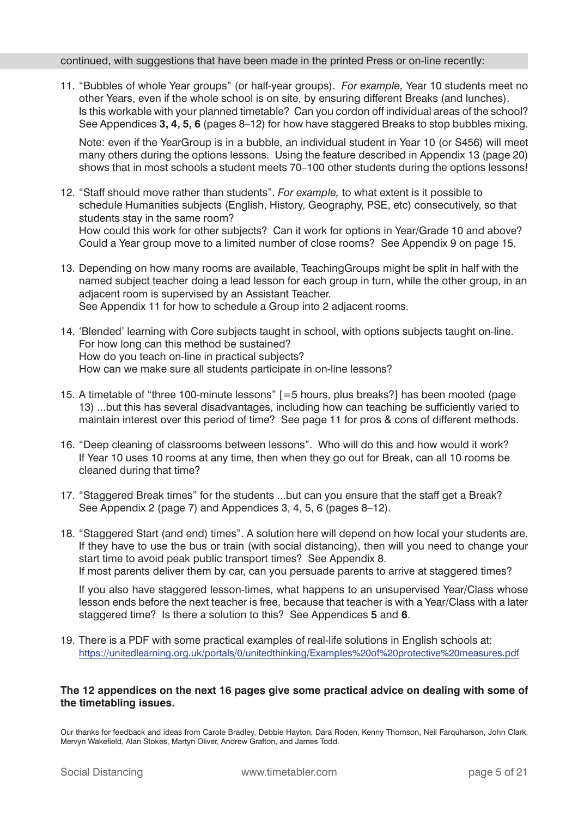#### continued, with suggestions that have been made in the printed Press or on-line recently:

11. "Bubbles of whole Year groups" (or half-year groups). *For example,* Year 10 students meet no other Years, even if the whole school is on site, by ensuring different Breaks (and lunches). Is this workable with your planned timetable? Can you cordon off individual areas of the school? See Appendices **3, 4, 5, 6** (pages 8–12) for how have staggered Breaks to stop bubbles mixing.

 Note: even if the YearGroup is in a bubble, an individual student in Year 10 (or S456) will meet many others during the options lessons. Using the feature described in Appendix 13 (page 20) shows that in most schools a student meets 70–100 other students during the options lessons!

- 12. "Staff should move rather than students". *For example,* to what extent is it possible to schedule Humanities subjects (English, History, Geography, PSE, etc) consecutively, so that students stay in the same room? How could this work for other subjects? Can it work for options in Year/Grade 10 and above? Could a Year group move to a limited number of close rooms? See Appendix 9 on page 15.
- 13. Depending on how many rooms are available, TeachingGroups might be split in half with the named subject teacher doing a lead lesson for each group in turn, while the other group, in an adjacent room is supervised by an Assistant Teacher. See Appendix 11 for how to schedule a Group into 2 adjacent rooms.
- 14. 'Blended' learning with Core subjects taught in school, with options subjects taught on-line. For how long can this method be sustained? How do you teach on-line in practical subjects? How can we make sure all students participate in on-line lessons?
- 15. A timetable of "three 100-minute lessons" [=5 hours, plus breaks?] has been mooted (page 13) ...but this has several disadvantages, including how can teaching be sufficiently varied to maintain interest over this period of time? See page 11 for pros & cons of different methods.
- 16. "Deep cleaning of classrooms between lessons". Who will do this and how would it work? If Year 10 uses 10 rooms at any time, then when they go out for Break, can all 10 rooms be cleaned during that time?
- 17. "Staggered Break times" for the students ...but can you ensure that the staff get a Break? See Appendix 2 (page 7) and Appendices 3, 4, 5, 6 (pages 8–12).
- 18. "Staggered Start (and end) times". A solution here will depend on how local your students are. If they have to use the bus or train (with social distancing), then will you need to change your start time to avoid peak public transport times? See Appendix 8. If most parents deliver them by car, can you persuade parents to arrive at staggered times?

 If you also have staggered lesson-times, what happens to an unsupervised Year/Class whose lesson ends before the next teacher is free, because that teacher is with a Year/Class with a later staggered time? Is there a solution to this? See Appendices **5** and **6**.

19. There is a PDF with some practical examples of real-life solutions in English schools at: https://unitedlearning.org.uk/portals/0/unitedthinking/Examples%20of%20protective%20measures.pdf

### **The 12 appendices on the next 16 pages give some practical advice on dealing with some of the timetabling issues.**

Our thanks for feedback and ideas from Carole Bradley, Debbie Hayton, Dara Roden, Kenny Thomson, Neil Farquharson, John Clark, Mervyn Wakefield, Alan Stokes, Martyn Oliver, Andrew Grafton, and James Todd.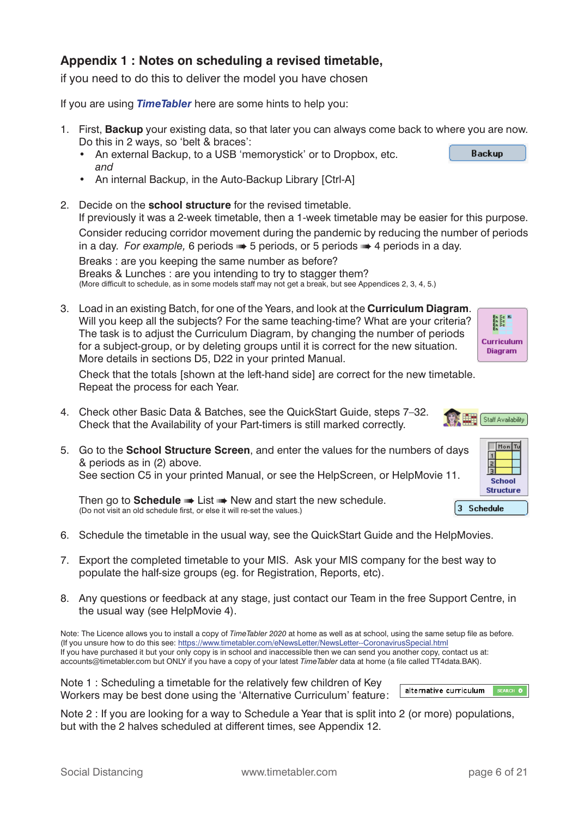### **Appendix 1 : Notes on scheduling a revised timetable,**

if you need to do this to deliver the model you have chosen

If you are using *TimeTabler* here are some hints to help you:

- 1. First, **Backup** your existing data, so that later you can always come back to where you are now. Do this in 2 ways, so 'belt & braces':
	- An external Backup, to a USB 'memorystick' or to Dropbox, etc. *and*
	- An internal Backup, in the Auto-Backup Library [Ctrl-A]
- 2. Decide on the **school structure** for the revised timetable. If previously it was a 2-week timetable, then a 1-week timetable may be easier for this purpose. Consider reducing corridor movement during the pandemic by reducing the number of periods in a day. *For example,* 6 periods ➠ 5 periods, or 5 periods ➠ 4 periods in a day. Breaks : are you keeping the same number as before? Breaks & Lunches : are you intending to try to stagger them?

(More difficult to schedule, as in some models staff may not get a break, but see Appendices 2, 3, 4, 5.)

3. Load in an existing Batch, for one of the Years, and look at the **Curriculum Diagram**. Will you keep all the subjects? For the same teaching-time? What are your criteria? The task is to adjust the Curriculum Diagram, by changing the number of periods for a subject-group, or by deleting groups until it is correct for the new situation. More details in sections D5, D22 in your printed Manual.

En Se<br>En Se<br>En Se **Curriculum Diagram** 

 Check that the totals [shown at the left-hand side] are correct for the new timetable. Repeat the process for each Year.

- 4. Check other Basic Data & Batches, see the QuickStart Guide, steps 7–32. Check that the Availability of your Part-timers is still marked correctly.
- 5. Go to the **School Structure Screen**, and enter the values for the numbers of days & periods as in (2) above.

See section C5 in your printed Manual, or see the HelpScreen, or HelpMovie 11.

Then go to **Schedule WE List WE New and start the new schedule.** (Do not visit an old schedule first, or else it will re-set the values.)

- 6. Schedule the timetable in the usual way, see the QuickStart Guide and the HelpMovies.
- 7. Export the completed timetable to your MIS. Ask your MIS company for the best way to populate the half-size groups (eg. for Registration, Reports, etc).
- 8. Any questions or feedback at any stage, just contact our Team in the free Support Centre, in the usual way (see HelpMovie 4).

Note: The Licence allows you to install a copy of *TimeTabler 2020* at home as well as at school, using the same setup file as before. (If you unsure how to do this see: https://www.timetabler.com/eNewsLetter/NewsLetter--CoronavirusSpecial.html If you have purchased it but your only copy is in school and inaccessible then we can send you another copy, contact us at: accounts@timetabler.com but ONLY if you have a copy of your latest *TimeTabler* data at home (a file called TT4data.BAK).

Note 1 : Scheduling a timetable for the relatively few children of Key Workers may be best done using the 'Alternative Curriculum' feature:



Note 2 : If you are looking for a way to Schedule a Year that is split into 2 (or more) populations, but with the 2 halves scheduled at different times, see Appendix 12.



| ays      | Mon<br>Tu<br><b>School</b> |  |  |  |  |  |  |
|----------|----------------------------|--|--|--|--|--|--|
|          | <b>Structure</b>           |  |  |  |  |  |  |
| Schedule |                            |  |  |  |  |  |  |

**Backup**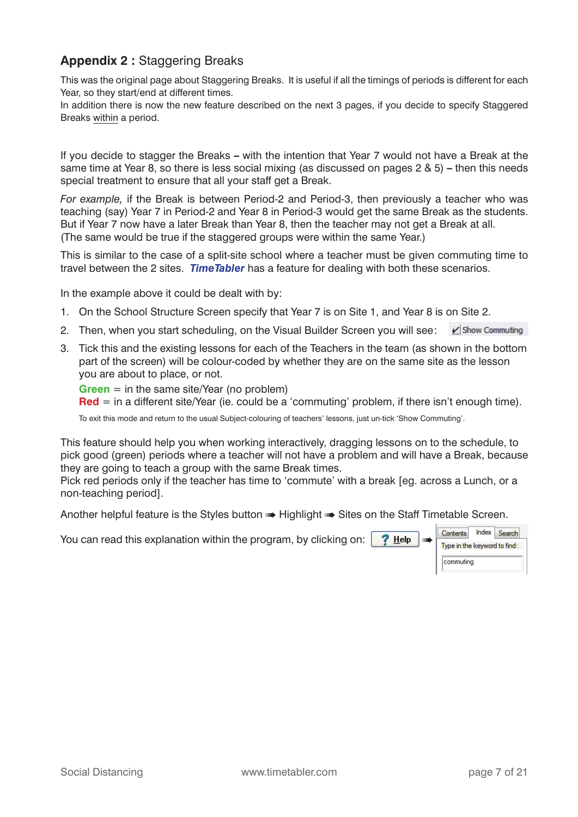### **Appendix 2 :** Staggering Breaks

This was the original page about Staggering Breaks. It is useful if all the timings of periods is different for each Year, so they start/end at different times.

In addition there is now the new feature described on the next 3 pages, if you decide to specify Staggered Breaks within a period.

If you decide to stagger the Breaks **–** with the intention that Year 7 would not have a Break at the same time at Year 8, so there is less social mixing (as discussed on pages 2 & 5) **–** then this needs special treatment to ensure that all your staff get a Break.

*For example,* if the Break is between Period-2 and Period-3, then previously a teacher who was teaching (say) Year 7 in Period-2 and Year 8 in Period-3 would get the same Break as the students. But if Year 7 now have a later Break than Year 8, then the teacher may not get a Break at all. (The same would be true if the staggered groups were within the same Year.)

This is similar to the case of a split-site school where a teacher must be given commuting time to travel between the 2 sites. *TimeTabler* has a feature for dealing with both these scenarios.

In the example above it could be dealt with by:

- 1. On the School Structure Screen specify that Year 7 is on Site 1, and Year 8 is on Site 2.
- 2. Then, when you start scheduling, on the Visual Builder Screen you will see:  $\blacksquare$  Show Commuting
- 3. Tick this and the existing lessons for each of the Teachers in the team (as shown in the bottom part of the screen) will be colour-coded by whether they are on the same site as the lesson you are about to place, or not.

**Green** = in the same site/Year (no problem)

**Red** = in a different site/Year (ie. could be a 'commuting' problem, if there isn't enough time).

To exit this mode and return to the usual Subject-colouring of teachers' lessons, just un-tick 'Show Commuting'.

This feature should help you when working interactively, dragging lessons on to the schedule, to pick good (green) periods where a teacher will not have a problem and will have a Break, because they are going to teach a group with the same Break times.

Pick red periods only if the teacher has time to 'commute' with a break [eg. across a Lunch, or a non-teaching period].

Another helpful feature is the Styles button • Highlight • Sites on the Staff Timetable Screen.

You can read this explanation within the program, by clicking on:  $\frac{?}{}$  Help

| Contents                     | Index Search |
|------------------------------|--------------|
| Type in the keyword to find: |              |
| commuting                    |              |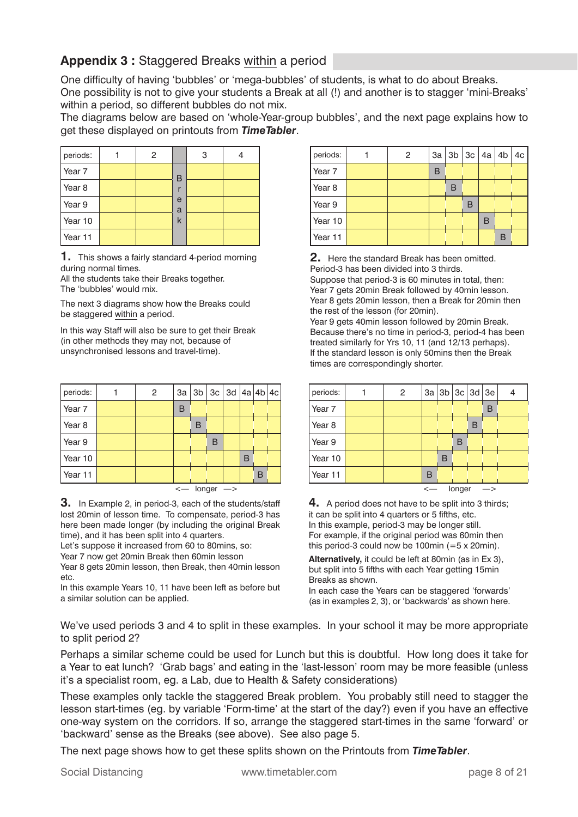# **Appendix 3 :** Staggered Breaks within a period

One difficulty of having 'bubbles' or 'mega-bubbles' of students, is what to do about Breaks. One possibility is not to give your students a Break at all (!) and another is to stagger 'mini-Breaks' within a period, so different bubbles do not mix.

The diagrams below are based on 'whole-Year-group bubbles', and the next page explains how to get these displayed on printouts from *TimeTabler*.

| periods:          | 2 |        | 3 |  |
|-------------------|---|--------|---|--|
| Year 7            |   | B      |   |  |
| Year <sub>8</sub> |   |        |   |  |
| Year 9            |   | e<br>a |   |  |
| Year 10           |   | k      |   |  |
| Year 11           |   |        |   |  |

**1.** This shows a fairly standard 4-period morning during normal times.

All the students take their Breaks together. The 'bubbles' would mix.

The next 3 diagrams show how the Breaks could be staggered within a period.

In this way Staff will also be sure to get their Break (in other methods they may not, because of unsynchronised lessons and travel-time).

| periods:          | $\overline{2}$ |   | 3a   3b   3c   3d   4a   4b   4c  |   |   |   |  |
|-------------------|----------------|---|-----------------------------------|---|---|---|--|
| Year <sub>7</sub> |                | В |                                   |   |   |   |  |
| Year <sub>8</sub> |                |   | B                                 |   |   |   |  |
| Year 9            |                |   |                                   | В |   |   |  |
| Year 10           |                |   |                                   |   | B |   |  |
| Year 11           |                |   |                                   |   |   | в |  |
|                   |                |   | $\leftarrow$ longer $\rightarrow$ |   |   |   |  |

**3.** In Example 2, in period-3, each of the students/staff lost 20min of lesson time. To compensate, period-3 has here been made longer (by including the original Break time), and it has been split into 4 quarters.

Let's suppose it increased from 60 to 80mins, so: Year 7 now get 20min Break then 60min lesson Year 8 gets 20min lesson, then Break, then 40min lesson etc.

In this example Years 10, 11 have been left as before but a similar solution can be applied.

| periods:          | $\overline{2}$ |   | 3a   3b   3c   4a   4b   4c |   |   |   |  |
|-------------------|----------------|---|-----------------------------|---|---|---|--|
| Year <sub>7</sub> |                | в |                             |   |   |   |  |
| Year <sub>8</sub> |                |   | B                           |   |   |   |  |
| Year 9            |                |   |                             | в |   |   |  |
| Year 10           |                |   |                             |   | В |   |  |
| Year 11           |                |   |                             |   |   | B |  |

**2.** Here the standard Break has been omitted. Period-3 has been divided into 3 thirds. Suppose that period-3 is 60 minutes in total, then: Year 7 gets 20min Break followed by 40min lesson. Year 8 gets 20min lesson, then a Break for 20min then

the rest of the lesson (for 20min). Year 9 gets 40min lesson followed by 20min Break.

Because there's no time in period-3, period-4 has been treated similarly for Yrs 10, 11 (and 12/13 perhaps). If the standard lesson is only 50mins then the Break times are correspondingly shorter.

| periods:                     |  | $\overline{2}$ |   | 3a   3b   3c   3d   3e |   |   |   | $\overline{a}$ |
|------------------------------|--|----------------|---|------------------------|---|---|---|----------------|
| Year <sub>7</sub>            |  |                |   |                        |   |   | в |                |
| Year <sub>8</sub>            |  |                |   |                        |   | В |   |                |
| Year 9                       |  |                |   |                        | в |   |   |                |
| Year 10                      |  |                |   | В                      |   |   |   |                |
| Year 11                      |  |                | B |                        |   |   |   |                |
| longer<br>$\leftarrow$<br>—> |  |                |   |                        |   |   |   |                |

**4.** A period does not have to be split into 3 thirds; it can be split into 4 quarters or 5 fifths, etc. In this example, period-3 may be longer still. For example, if the original period was 60min then this period-3 could now be 100min (=5 x 20min).

**Alternatively,** it could be left at 80min (as in Ex 3), but split into 5 fifths with each Year getting 15min Breaks as shown.

In each case the Years can be staggered 'forwards' (as in examples 2, 3), or 'backwards' as shown here.

We've used periods 3 and 4 to split in these examples. In your school it may be more appropriate to split period 2?

Perhaps a similar scheme could be used for Lunch but this is doubtful. How long does it take for a Year to eat lunch? 'Grab bags' and eating in the 'last-lesson' room may be more feasible (unless it's a specialist room, eg. a Lab, due to Health & Safety considerations)

These examples only tackle the staggered Break problem. You probably still need to stagger the lesson start-times (eg. by variable 'Form-time' at the start of the day?) even if you have an effective one-way system on the corridors. If so, arrange the staggered start-times in the same 'forward' or 'backward' sense as the Breaks (see above). See also page 5.

The next page shows how to get these splits shown on the Printouts from *TimeTabler*.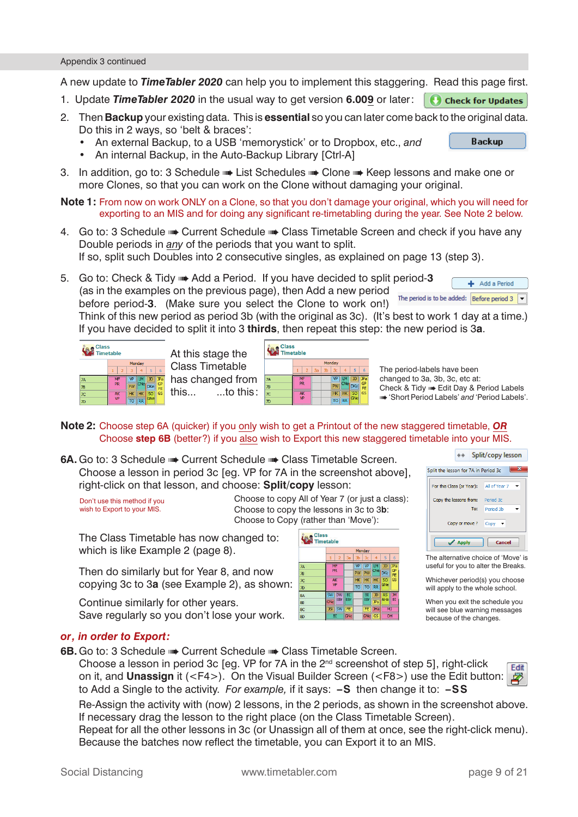A new update to **TimeTabler 2020** can help you to implement this staggering. Read this page first.

- 1. Update *TimeTabler 2020* in the usual way to get version **6.009** or later:
- 2. Then **Backup** your existing data. This is **essential** so you can later come back to the original data. Do this in 2 ways, so 'belt & braces':
	- An external Backup, to a USB 'memorystick' or to Dropbox, etc., *and*
	- An internal Backup, in the Auto-Backup Library [Ctrl-A]
- 3. In addition, go to: 3 Schedule List Schedules Clone Keep lessons and make one or more Clones, so that you can work on the Clone without damaging your original.
- **Note 1:** From now on work ONLY on a Clone, so that you don't damage your original, which you will need for exporting to an MIS and for doing any significant re-timetabling during the year. See Note 2 below.
- 4. Go to: 3 Schedule •• Current Schedule •• Class Timetable Screen and check if you have any Double periods in *any* of the periods that you want to split. If so, split such Doubles into 2 consecutive singles, as explained on page 13 (step 3).
- 5. Go to: Check & Tidy ➠ Add a Period. If you have decided to split period-**3** + Add a Period (as in the examples on the previous page), then Add a new period The period is to be added:  $\boxed{\text{Before period 3}}$ before period-**3**. (Make sure you select the Clone to work on!)

Think of this new period as period 3b (with the original as 3c). (It's best to work 1 day at a time.) If you have decided to split it into 3 **thirds**, then repeat this step: the new period is 3**a**.



 Class Timetable **Fact of the set of the set of the set of the set of the set of the set of the set of the set of the set of the** 

|    | <b>Class</b><br><b>Timetable</b> |                        |    |    |                |                |                |            |                                   |
|----|----------------------------------|------------------------|----|----|----------------|----------------|----------------|------------|-----------------------------------|
|    |                                  |                        |    |    |                | Monday         |                |            |                                   |
|    |                                  |                        |    | 3a | 3 <sub>b</sub> | 3 <sub>c</sub> |                |            | 6                                 |
| m  | <b>7A</b>                        |                        | MF |    |                | VP             | ıм             | JD         | JPa                               |
|    | 78                               | PR                     |    |    |                | <b>PW</b>      | <b>CNev</b>    | <b>DKe</b> | GP<br>FE                          |
| s: | 7 <sup>C</sup>                   | <b>AK</b><br><b>VP</b> |    |    |                | HK             | H <sub>K</sub> | 50         | $\overline{\mathsf{c}\mathsf{s}}$ |
|    | 7D                               |                        |    |    |                | TO             | <b>RR</b>      | GNel       |                                   |

The period-labels have been changed to 3a, 3b, 3c, etc at: Check & Tidy ➠ Edit Day & Period Labels ➠ 'Short Period Labels' *and* 'Period Labels'.

**Backup** 

### **Note 2:** Choose step 6A (quicker) if you only wish to get a Printout of the new staggered timetable, *OR* Choose **step 6B** (better?) if you also wish to Export this new staggered timetable into your MIS.

**6A.** Go to: 3 Schedule • Current Schedule • Class Timetable Screen. Choose a lesson in period 3c [eg. VP for 7A in the screenshot above], right-click on that lesson, and choose: **Split/copy** lesson:

Don't use this method if you wish to Export to your MIS.

 Choose to copy All of Year 7 (or just a class): Choose to copy the lessons in 3c to 3**b**: Choose to Copy (rather than 'Move'):

 The Class Timetable has now changed to: which is like Example 2 (page 8).

 Then do similarly but for Year 8, and now copying 3c to 3**a** (see Example 2), as shown:

 Continue similarly for other years. Save regularly so you don't lose your work.





The alternative choice of 'Move' is useful for you to alter the Breaks.

Whichever period(s) you choose will apply to the whole school.

When you exit the schedule you will see blue warning messages because of the changes.

### *or, in order to Export:*

**6B.** Go to: 3 Schedule ➡ Current Schedule ➡ Class Timetable Screen.

 Choose a lesson in period 3c [eg. VP for 7A in the 2nd screenshot of step 5], right-click on it, and **Unassign** it (<F4>). On the Visual Builder Screen (<F8>) use the Edit button: to Add a Single to the activity. *For example,* if it says: **–S** then change it to: **–SS**

 Re-Assign the activity with (now) 2 lessons, in the 2 periods, as shown in the screenshot above. If necessary drag the lesson to the right place (on the Class Timetable Screen).

 Repeat for all the other lessons in 3c (or Unassign all of them at once, see the right-click menu). Because the batches now reflect the timetable, you can Export it to an MIS.

**Fdit** ⊉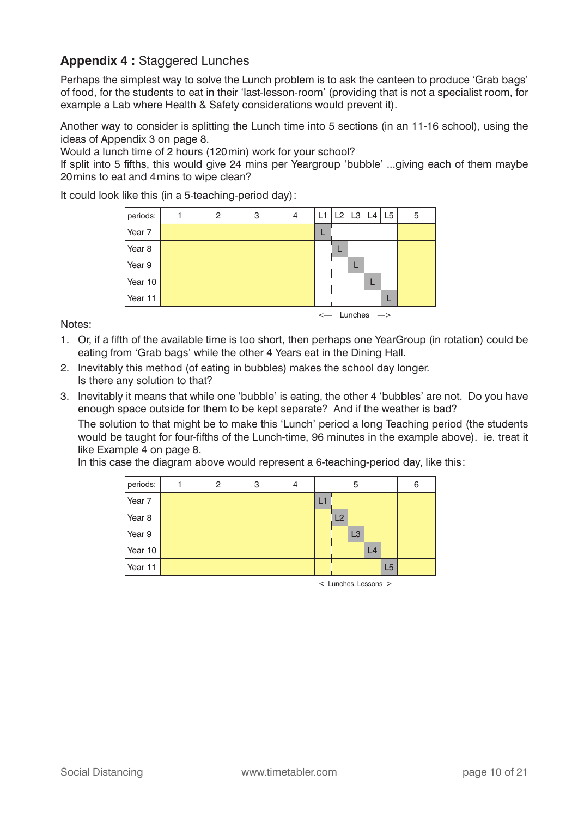## **Appendix 4 :** Staggered Lunches

Perhaps the simplest way to solve the Lunch problem is to ask the canteen to produce 'Grab bags' of food, for the students to eat in their 'last-lesson-room' (providing that is not a specialist room, for example a Lab where Health & Safety considerations would prevent it).

Another way to consider is splitting the Lunch time into 5 sections (in an 11-16 school), using the ideas of Appendix 3 on page 8.

Would a lunch time of 2 hours (120min) work for your school?

If split into 5 fifths, this would give 24 mins per Yeargroup 'bubble' ...giving each of them maybe 20mins to eat and 4mins to wipe clean?

It could look like this (in a 5-teaching-period day):

| periods: | $\overline{2}$ | 3 | 4 | L1   L2   L3   L4   L5             |  | 5 |
|----------|----------------|---|---|------------------------------------|--|---|
| Year 7   |                |   |   |                                    |  |   |
| Year 8   |                |   |   |                                    |  |   |
| Year 9   |                |   |   |                                    |  |   |
| Year 10  |                |   |   |                                    |  |   |
| Year 11  |                |   |   |                                    |  |   |
|          |                |   |   | $\leftarrow$ Lunches $\rightarrow$ |  |   |

Notes:

- 1. Or, if a fifth of the available time is too short, then perhaps one YearGroup (in rotation) could be eating from 'Grab bags' while the other 4 Years eat in the Dining Hall.
- 2. Inevitably this method (of eating in bubbles) makes the school day longer. Is there any solution to that?
- 3. Inevitably it means that while one 'bubble' is eating, the other 4 'bubbles' are not. Do you have enough space outside for them to be kept separate? And if the weather is bad?

 The solution to that might be to make this 'Lunch' period a long Teaching period (the students would be taught for four-fifths of the Lunch-time, 96 minutes in the example above). ie. treat it like Example 4 on page 8.

In this case the diagram above would represent a 6-teaching-period day, like this:

| periods: | $\mathcal{P}$ | 3 | 4 |    | 5  |                |    | 6 |
|----------|---------------|---|---|----|----|----------------|----|---|
| Year 7   |               |   |   |    |    |                |    |   |
| Year 8   |               |   |   | L2 |    |                |    |   |
| Year 9   |               |   |   |    | L3 |                |    |   |
| Year 10  |               |   |   |    |    | L <sub>4</sub> |    |   |
| Year 11  |               |   |   |    |    |                | L5 |   |

 $\leq$  Lunches Lessons  $\geq$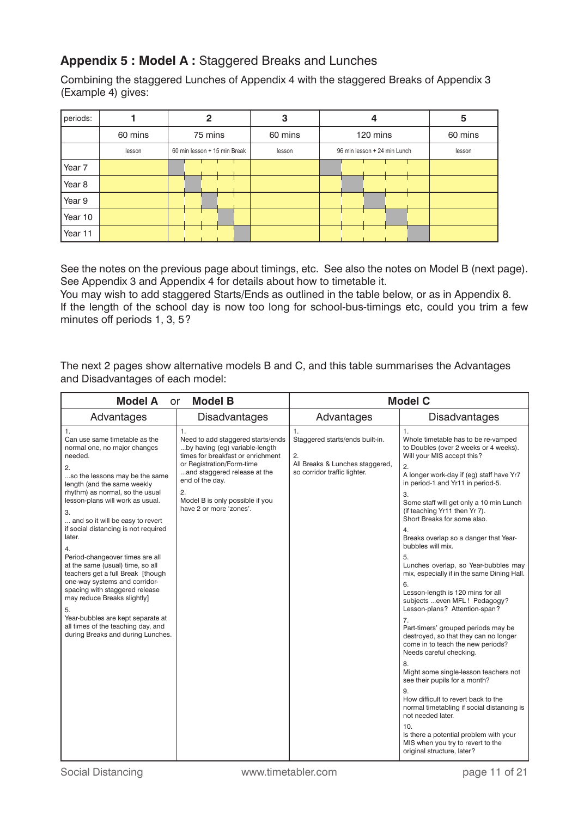# **Appendix 5 : Model A :** Staggered Breaks and Lunches

Combining the staggered Lunches of Appendix 4 with the staggered Breaks of Appendix 3 (Example 4) gives:

| periods: |         | 2                            | 3       | 4                            | 5       |
|----------|---------|------------------------------|---------|------------------------------|---------|
|          | 60 mins | 75 mins                      | 60 mins | 120 mins                     | 60 mins |
|          | lesson  | 60 min lesson + 15 min Break | lesson  | 96 min lesson + 24 min Lunch | lesson  |
| Year 7   |         |                              |         |                              |         |
| Year 8   |         |                              |         |                              |         |
| Year 9   |         |                              |         |                              |         |
| Year 10  |         |                              |         |                              |         |
| Year 11  |         |                              |         |                              |         |

See the notes on the previous page about timings, etc. See also the notes on Model B (next page). See Appendix 3 and Appendix 4 for details about how to timetable it.

You may wish to add staggered Starts/Ends as outlined in the table below, or as in Appendix 8. If the length of the school day is now too long for school-bus-timings etc, could you trim a few minutes off periods 1, 3, 5?

| The next 2 pages show alternative models B and C, and this table summarises the Advantages |  |
|--------------------------------------------------------------------------------------------|--|
| and Disadvantages of each model:                                                           |  |

| <b>Model A</b><br><b>or</b>                                                                                                                                                                                                                                                                                                                                                                                                                                                                                                                                                                                                                                        | <b>Model B</b>                                                                                                                                                                                                                                                     |                                                                                                                            | <b>Model C</b>                                                                                                                                                                                                                                                                                                                                                                                                                                                                                                                                                                                                                                                                                                                                                                                                                                                                                                                                                                                                                                                                   |
|--------------------------------------------------------------------------------------------------------------------------------------------------------------------------------------------------------------------------------------------------------------------------------------------------------------------------------------------------------------------------------------------------------------------------------------------------------------------------------------------------------------------------------------------------------------------------------------------------------------------------------------------------------------------|--------------------------------------------------------------------------------------------------------------------------------------------------------------------------------------------------------------------------------------------------------------------|----------------------------------------------------------------------------------------------------------------------------|----------------------------------------------------------------------------------------------------------------------------------------------------------------------------------------------------------------------------------------------------------------------------------------------------------------------------------------------------------------------------------------------------------------------------------------------------------------------------------------------------------------------------------------------------------------------------------------------------------------------------------------------------------------------------------------------------------------------------------------------------------------------------------------------------------------------------------------------------------------------------------------------------------------------------------------------------------------------------------------------------------------------------------------------------------------------------------|
| Advantages                                                                                                                                                                                                                                                                                                                                                                                                                                                                                                                                                                                                                                                         | <b>Disadvantages</b>                                                                                                                                                                                                                                               | Advantages                                                                                                                 | <b>Disadvantages</b>                                                                                                                                                                                                                                                                                                                                                                                                                                                                                                                                                                                                                                                                                                                                                                                                                                                                                                                                                                                                                                                             |
| 1.<br>Can use same timetable as the<br>normal one, no major changes<br>needed.<br>2.<br>so the lessons may be the same<br>length (and the same weekly<br>rhythm) as normal, so the usual<br>lesson-plans will work as usual.<br>3.<br>and so it will be easy to revert<br>if social distancing is not required<br>later.<br>4.<br>Period-changeover times are all<br>at the same (usual) time, so all<br>teachers get a full Break [though<br>one-way systems and corridor-<br>spacing with staggered release<br>may reduce Breaks slightly]<br>5.<br>Year-bubbles are kept separate at<br>all times of the teaching day, and<br>during Breaks and during Lunches. | 1.<br>Need to add staggered starts/ends<br>by having (eq) variable-length<br>times for breakfast or enrichment<br>or Registration/Form-time<br>and staggered release at the<br>end of the day.<br>2.<br>Model B is only possible if you<br>have 2 or more 'zones'. | $\mathbf{1}$ .<br>Staggered starts/ends built-in.<br>2.<br>All Breaks & Lunches staggered,<br>so corridor traffic lighter. | 1.<br>Whole timetable has to be re-vamped<br>to Doubles (over 2 weeks or 4 weeks).<br>Will your MIS accept this?<br>2.<br>A longer work-day if (eg) staff have Yr7<br>in period-1 and Yr11 in period-5.<br>3.<br>Some staff will get only a 10 min Lunch<br>(if teaching Yr11 then Yr 7).<br>Short Breaks for some also.<br>4.<br>Breaks overlap so a danger that Year-<br>bubbles will mix.<br>5.<br>Lunches overlap, so Year-bubbles may<br>mix, especially if in the same Dining Hall.<br>6.<br>Lesson-length is 120 mins for all<br>subjects even MFL ! Pedagogy?<br>Lesson-plans? Attention-span?<br>7.<br>Part-timers' grouped periods may be<br>destroyed, so that they can no longer<br>come in to teach the new periods?<br>Needs careful checking.<br>8.<br>Might some single-lesson teachers not<br>see their pupils for a month?<br>9.<br>How difficult to revert back to the<br>normal timetabling if social distancing is<br>not needed later.<br>10.<br>Is there a potential problem with your<br>MIS when you try to revert to the<br>original structure, later? |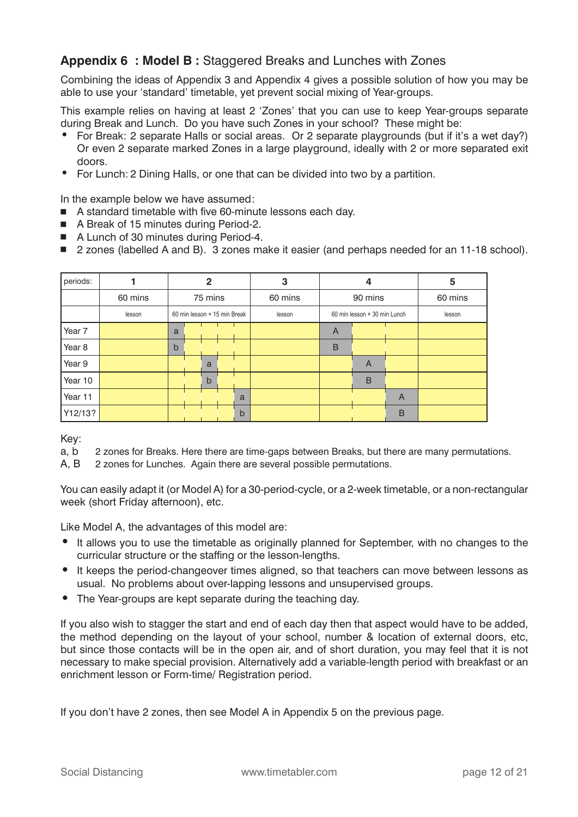### **Appendix 6 : Model B :** Staggered Breaks and Lunches with Zones

Combining the ideas of Appendix 3 and Appendix 4 gives a possible solution of how you may be able to use your 'standard' timetable, yet prevent social mixing of Year-groups.

This example relies on having at least 2 'Zones' that you can use to keep Year-groups separate during Break and Lunch. Do you have such Zones in your school? These might be:

- For Break: 2 separate Halls or social areas. Or 2 separate playgrounds (but if it's a wet day?) Or even 2 separate marked Zones in a large playground, ideally with 2 or more separated exit doors.
- For Lunch: 2 Dining Halls, or one that can be divided into two by a partition.

In the example below we have assumed:

- A standard timetable with five 60-minute lessons each day.
- A Break of 15 minutes during Period-2.
- A Lunch of 30 minutes during Period-4.
- 2 zones (labelled A and B). 3 zones make it easier (and perhaps needed for an 11-18 school).

| periods: |         |                              | $\mathbf{2}$ |             | 3       | 4                            |         |   | 5       |
|----------|---------|------------------------------|--------------|-------------|---------|------------------------------|---------|---|---------|
|          | 60 mins |                              | 75 mins      |             | 60 mins |                              | 90 mins |   | 60 mins |
|          | lesson  | 60 min lesson + 15 min Break |              |             | lesson  | 60 min lesson + 30 min Lunch |         |   | lesson  |
| Year 7   |         | a                            |              |             |         | A                            |         |   |         |
| Year 8   |         | $\mathsf b$                  |              |             |         | B                            |         |   |         |
| Year 9   |         |                              | a            |             |         |                              | A       |   |         |
| Year 10  |         |                              | $\mathsf b$  |             |         |                              | B       |   |         |
| Year 11  |         |                              |              | a           |         |                              |         | A |         |
| Y12/13?  |         |                              |              | $\mathsf b$ |         |                              |         | B |         |

Key:

a, b 2 zones for Breaks. Here there are time-gaps between Breaks, but there are many permutations.

A, B 2 zones for Lunches. Again there are several possible permutations.

You can easily adapt it (or Model A) for a 30-period-cycle, or a 2-week timetable, or a non-rectangular week (short Friday afternoon), etc.

Like Model A, the advantages of this model are:

- It allows you to use the timetable as originally planned for September, with no changes to the curricular structure or the staffing or the lesson-lengths.
- It keeps the period-changeover times aligned, so that teachers can move between lessons as usual. No problems about over-lapping lessons and unsupervised groups.
- The Year-groups are kept separate during the teaching day.

If you also wish to stagger the start and end of each day then that aspect would have to be added, the method depending on the layout of your school, number & location of external doors, etc, but since those contacts will be in the open air, and of short duration, you may feel that it is not necessary to make special provision. Alternatively add a variable-length period with breakfast or an enrichment lesson or Form-time/ Registration period.

If you don't have 2 zones, then see Model A in Appendix 5 on the previous page.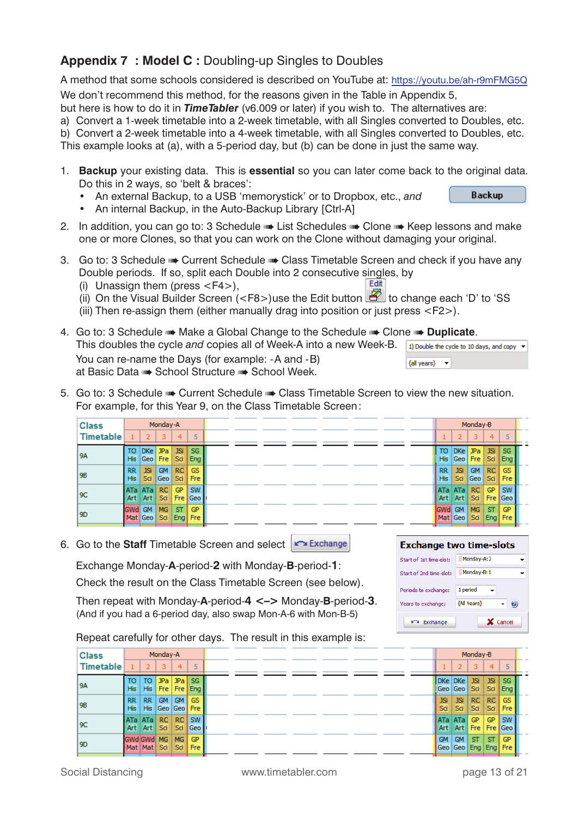# **Appendix 7 : Model C :** Doubling-up Singles to Doubles

A method that some schools considered is described on YouTube at: https://youtu.be/ah-r9mFMG5Q We don't recommend this method, for the reasons given in the Table in Appendix 5, but here is how to do it in *TimeTabler* (v6.009 or later) if you wish to. The alternatives are: a) Convert a 1-week timetable into a 2-week timetable, with all Singles converted to Doubles, etc.

b) Convert a 2-week timetable into a 4-week timetable, with all Singles converted to Doubles, etc.

This example looks at (a), with a 5-period day, but (b) can be done in just the same way.

- 1. **Backup** your existing data. This is **essential** so you can later come back to the original data. Do this in 2 ways, so 'belt & braces': **Backup** 
	- An external Backup, to a USB 'memorystick' or to Dropbox, etc., *and*
	- An internal Backup, in the Auto-Backup Library [Ctrl-A]
- 2. In addition, you can go to: 3 Schedule List Schedules Clone Keep lessons and make one or more Clones, so that you can work on the Clone without damaging your original.
- 3. Go to: 3 Schedule •• Current Schedule •• Class Timetable Screen and check if you have any Double periods. If so, split each Double into 2 consecutive singles, by Fdit (i) Unassign them (press <F4>),
	- (i) on the Visual Builder Screen  $\langle$  <F8>)use the Edit button  $\Box$  to change each 'D' to 'SS
	- (iii) Then re-assign them (either manually drag into position or just press <F2>).
- 4. Go to: 3 Schedule ➠ Make a Global Change to the Schedule ➠ Clone ➠ **Duplicate**. This doubles the cycle *and* copies all of Week-A into a new Week-B. 1) Double the cycle to 10 days, and copy  $\rightarrow$  You can re-name the Days (for example: -A and -B)  $\{$ all years}  $\rightarrow$ at Basic Data ➠ School Structure ➠ School Week.
- 5. Go to: 3 Schedule Current Schedule Class Timetable Screen to view the new situation. For example, for this Year 9, on the Class Timetable Screen:

| <b>Class</b>     |                         |                   | Monday-A                |                   |                         |  |  |  |  |                  |                   | Monday-B         |                  |                         |  |
|------------------|-------------------------|-------------------|-------------------------|-------------------|-------------------------|--|--|--|--|------------------|-------------------|------------------|------------------|-------------------------|--|
| <b>Timetable</b> |                         |                   |                         | 4                 | 5                       |  |  |  |  |                  |                   | 3                | 4                |                         |  |
| <b>9A</b>        | то<br><b>His</b>        | D <sub>Ke</sub>   | <b>JPa</b><br>Geo   Fre | <b>JSi</b><br>Sci | <b>SG</b><br><b>Eng</b> |  |  |  |  | то<br><b>His</b> | DKe               | JPa<br>Geo   Fre | JSi<br>Sai       | SG<br>Eng               |  |
| <b>9B</b>        | <b>RR</b><br><b>His</b> | <b>JSi</b><br>Sci | <b>GM</b><br>Geo        | RC.<br>Sci        | <b>GS</b><br>Fre        |  |  |  |  | <b>RR</b><br>His | <b>JSi</b><br>Sci | <b>GM</b><br>Geo | RC<br>Sai        | <b>GS</b><br><b>Fre</b> |  |
| 9C               | ATa   ATa  <br>Art      | Art               | RC.<br>Sci              | GP<br>Fre         | <b>SW</b><br>l Geo      |  |  |  |  | ATa<br>Art       | ATa  <br>Art      | RC.<br>Sci       | <b>GP</b><br>Fre | <b>SW</b><br>Geo        |  |
| 19D              | GWd GM                  | Mat Geo           | <b>MG</b><br>Sci        | ST.<br>Eng        | <b>GP</b><br><b>Fre</b> |  |  |  |  | <b>GWd</b> GM    | Mat Geo           | <b>MG</b><br>Sci | <b>ST</b><br>Eng | <b>GP</b><br><b>Fre</b> |  |

6. Go to the **Staff** Timetable Screen and select **For Exchange** 

Exchange Monday-**A**-period-**2** with Monday-**B**-period-**1**:

Check the result on the Class Timetable Screen (see below).

 Then repeat with Monday-**A**-period-**4 <–>** Monday-**B**-period-**3**. (And if you had a 6-period day, also swap Mon-A-6 with Mon-B-5)

Repeat carefully for other days. The result in this example is:

| <b>Class</b>     |                         |                           | Monday-A   |                  |                          |  |  |  |  |                   |                        | Monday-B   |                      |                         |
|------------------|-------------------------|---------------------------|------------|------------------|--------------------------|--|--|--|--|-------------------|------------------------|------------|----------------------|-------------------------|
| <b>Timetable</b> |                         |                           |            | 4                | -51                      |  |  |  |  |                   |                        | 3.         | 4                    |                         |
| <b>9A</b>        | то<br><b>His</b>        | то<br><b>His</b>          | JPa<br>Fre | <b>JPa</b>       | -SG<br>Fre Eng           |  |  |  |  | DKe DKe           | Geo   Geo   Sci        | <b>JSi</b> | <b>JSi</b><br>Sci    | -SG<br>Eng              |
| <b>9B</b>        | <b>RR</b><br><b>His</b> | RR.<br><b>His</b>         | <b>GM</b>  | <b>GM</b>        | <b>GS</b><br>Geo Geo Fre |  |  |  |  | <b>JSi</b><br>Sci | <b>JSi</b><br>Sci      | RC.<br>Sai | RC  <br>Sci          | <b>GS</b><br><b>Fre</b> |
| 9C               |                         | ATa ATa<br>Art   Art      | RC.<br>Sai | RC.<br>Sci       | SW<br>Geo                |  |  |  |  | ATa<br>Art        | ATa<br>Art             | GP<br>Fre  | <b>GP</b><br>Fre     | l sw<br>Geo             |
| 9 <sub>D</sub>   |                         | GWd GWd MG<br>Mat Mat Sci |            | <b>MG</b><br>Sci | <b>GP</b><br>Fre         |  |  |  |  | <b>GM</b><br>Geo  | <b>GM</b><br>Geo   Eng | <b>ST</b>  | <b>ST</b><br>Eng Fre | <b>GP</b>               |

**Exchange two time-slots** Start of 1st time-slot: Monday-A:2 Start of 2nd time-slot: Monday-B:1 Periods to exchange: 1 period Years to exchange:

*{All Years}* 

Exchange

 $\omega$ 

X Cancel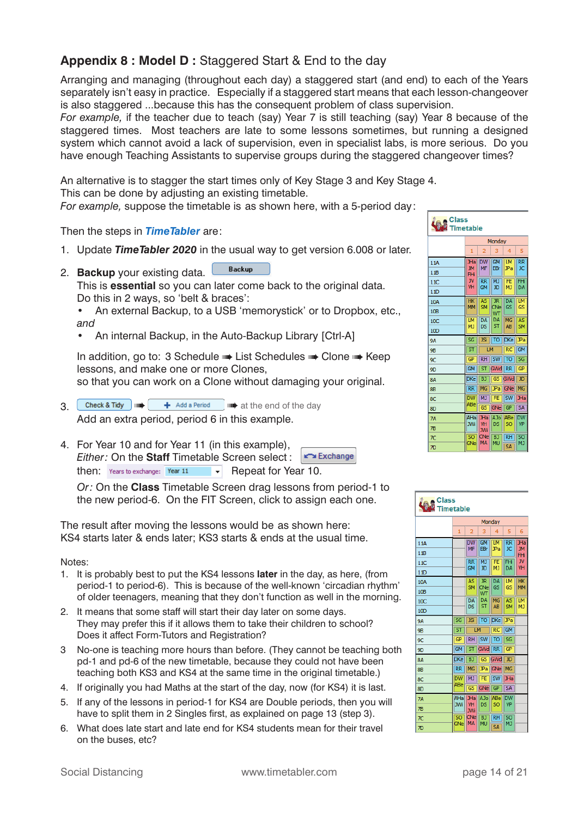# **Appendix 8 : Model D :** Staggered Start & End to the day

Arranging and managing (throughout each day) a staggered start (and end) to each of the Years separately isn't easy in practice. Especially if a staggered start means that each lesson-changeover is also staggered ...because this has the consequent problem of class supervision.

*For example,* if the teacher due to teach (say) Year 7 is still teaching (say) Year 8 because of the staggered times. Most teachers are late to some lessons sometimes, but running a designed system which cannot avoid a lack of supervision, even in specialist labs, is more serious. Do you have enough Teaching Assistants to supervise groups during the staggered changeover times?

An alternative is to stagger the start times only of Key Stage 3 and Key Stage 4. This can be done by adjusting an existing timetable.

*For example,* suppose the timetable is as shown here, with a 5-period day:

Then the steps in *TimeTabler* are:

- 1. Update *TimeTabler 2020* in the usual way to get version 6.008 or later.
- **Backup** 2. **Backup** your existing data.

 This is **essential** so you can later come back to the original data. Do this in 2 ways, so 'belt & braces':

- An external Backup, to a USB 'memorystick' or to Dropbox, etc., *and*
- An internal Backup, in the Auto-Backup Library [Ctrl-A]

In addition, go to: 3 Schedule •• List Schedules •• Clone •• Keep lessons, and make one or more Clones,

so that you can work on a Clone without damaging your original.

- $3 \left($  Check & Tidy  $\left| \mathbf{m} \right|$  + Add a Period  $\left| \mathbf{m} \right|$  at the end of the day Add an extra period, period 6 in this example.
- 4. For Year 10 and for Year 11 (in this example), Exchange *Either:* On the **Staff** Timetable Screen select : then:  $Years$  to exchange:  $Year 11 \rightarrow \text{Repeat}$  for Year 10.

*Or:* On the **Class** Timetable Screen drag lessons from period-1 to the new period-6. On the FIT Screen, click to assign each one.

The result after moving the lessons would be as shown here: KS4 starts later & ends later; KS3 starts & ends at the usual time.

Notes:

- 1. It is probably best to put the KS4 lessons **later** in the day, as here, (from period-1 to period-6). This is because of the well-known 'circadian rhythm' of older teenagers, meaning that they don't function as well in the morning.
- 2. It means that some staff will start their day later on some days. They may prefer this if it allows them to take their children to school? Does it affect Form-Tutors and Registration?
- 3 No-one is teaching more hours than before. (They cannot be teaching both pd-1 and pd-6 of the new timetable, because they could not have been teaching both KS3 and KS4 at the same time in the original timetable.)
- 4. If originally you had Maths at the start of the day, now (for KS4) it is last.
- 5. If any of the lessons in period-1 for KS4 are Double periods, then you will have to split them in 2 Singles first, as explained on page 13 (step 3).
- 6. What does late start and late end for KS4 students mean for their travel on the buses, etc?



| <b>Class</b>    | <b>Timetable</b>       |                        |                              |                      |                        |                        |
|-----------------|------------------------|------------------------|------------------------------|----------------------|------------------------|------------------------|
|                 |                        |                        |                              | Monday               |                        |                        |
|                 | 1                      | 2                      | 3                            | 4                    | 5                      | 6                      |
| 11A             |                        | <b>DW</b>              | <b>GM</b>                    | <b>LM</b>            | $\overline{\text{RR}}$ | JHa                    |
| 11B             |                        | <b>MF</b>              | EBr                          | JPa                  | <b>JC</b>              | <b>JM</b><br>FHi       |
| 11C             |                        | <b>RR</b><br><b>GM</b> | <b>MJ</b><br>JD              | FE<br>M <sub>J</sub> | FHi<br>DA              | <b>JV</b><br><b>VH</b> |
| 11D             |                        |                        |                              |                      |                        |                        |
| 10A             |                        | <b>AS</b><br><b>SM</b> | <b>JR</b><br>CNe             | DA<br>GS             | LM<br>GS               | <b>HK</b><br><b>MM</b> |
| 10 <sub>B</sub> |                        |                        | WT                           |                      |                        |                        |
| 10C             |                        | DA<br>DS               | DA<br>ST                     | MG<br><b>AB</b>      | AS<br><b>SM</b>        | LМ<br><b>MJ</b>        |
| 10 <sub>D</sub> |                        |                        |                              |                      |                        |                        |
| <b>9A</b>       | $\overline{\text{SG}}$ | <b>JSi</b>             | TO                           | <b>DKe</b>           | JPa                    |                        |
| <b>9B</b>       | ST                     | LM                     |                              | <b>RC</b>            | <b>GM</b>              |                        |
| 9C              | <b>GP</b>              | <b>RH</b>              | <b>SW</b>                    | TO                   | SG                     |                        |
| <b>9D</b>       | <b>GM</b>              | ST                     | GWd                          | $\overline{RR}$      | GP                     |                        |
| <b>8A</b>       | <b>DKe</b>             | B)                     | $\overline{\text{GS}}$       | GWd                  | JD                     |                        |
| <b>8B</b>       | <b>RR</b>              | MG                     | JPa                          | GNe                  | <b>MG</b>              |                        |
| 8C              | <b>DW</b>              | MJ                     | FE                           | <b>SW</b>            | <b>JHa</b>             |                        |
| 8D              | ABe                    | $\overline{\text{GS}}$ | GNe                          | GP                   | <b>SA</b>              |                        |
| <b>7A</b>       | AHa<br><b>JWi</b>      | JHa<br><b>VH</b>       | A <sub>Jo</sub><br><b>DS</b> | ABe<br>SO            | <b>DW</b><br><b>VP</b> |                        |
| <b>7B</b>       |                        | <b>JWi</b>             |                              |                      |                        |                        |
| 7 <sup>C</sup>  | SO<br>GNe              | CNe<br><b>MA</b>       | B)<br><b>MU</b>              | $\overline{RH}$      | SO<br>MJ               |                        |
| $\overline{D}$  |                        |                        |                              | <b>SA</b>            |                        |                        |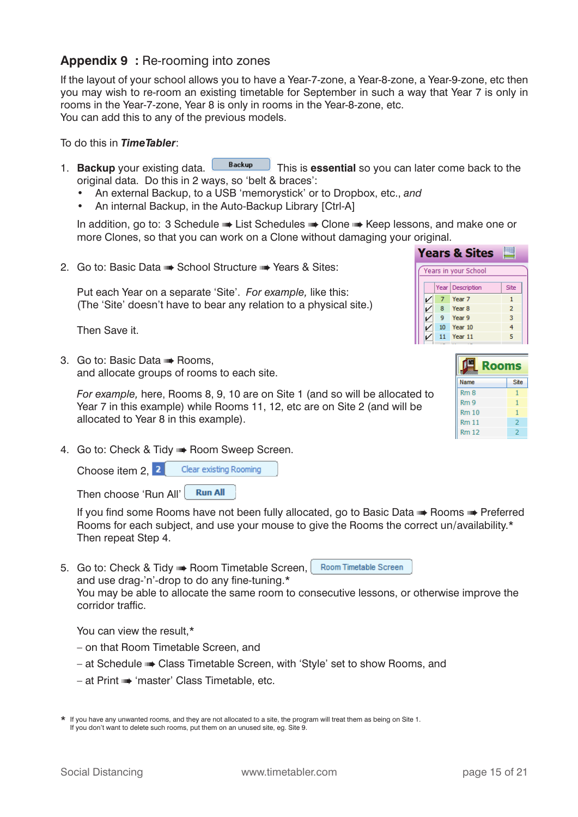### **Appendix 9 :** Re-rooming into zones

If the layout of your school allows you to have a Year-7-zone, a Year-8-zone, a Year-9-zone, etc then you may wish to re-room an existing timetable for September in such a way that Year 7 is only in rooms in the Year-7-zone, Year 8 is only in rooms in the Year-8-zone, etc. You can add this to any of the previous models.

To do this in *TimeTabler*:

- 1. **Backup** your existing data. **This is essential** so you can later come back to the original data. Do this in 2 ways, so 'belt & braces':
	- An external Backup, to a USB 'memorystick' or to Dropbox, etc., *and*
	- An internal Backup, in the Auto-Backup Library [Ctrl-A]

 In addition, go to: 3 Schedule ➠ List Schedules ➠ Clone ➠ Keep lessons, and make one or more Clones, so that you can work on a Clone without damaging your original.

2. Go to: Basic Data ➠ School Structure ➠ Years & Sites:

 Put each Year on a separate 'Site'. *For example,* like this: (The 'Site' doesn't have to bear any relation to a physical site.)

Then Save it.

3. Go to: Basic Data ➠ Rooms, and allocate groups of rooms to each site.

 *For example,* here, Rooms 8, 9, 10 are on Site 1 (and so will be allocated to Year 7 in this example) while Rooms 11, 12, etc are on Site 2 (and will be allocated to Year 8 in this example).

4. Go to: Check & Tidy ➠ Room Sweep Screen.

Choose item 2, 2 Clear existing Rooming

**Run All** Then choose 'Run All'

If you find some Rooms have not been fully allocated, go to Basic Data • Rooms • Preferred Rooms for each subject, and use your mouse to give the Rooms the correct un/availability.\* Then repeat Step 4.

Room Timetable Screen 5. Go to: Check & Tidy • Room Timetable Screen, and use drag-'n'-drop to do any fine-tuning. $*$ 

 You may be able to allocate the same room to consecutive lessons, or otherwise improve the corridor traffic.

You can view the result.\*

- on that Room Timetable Screen, and
- at Schedule ➠ Class Timetable Screen, with 'Style' set to show Rooms, and
- at Print ➠ 'master' Class Timetable, etc.

|  |    | <b>Years &amp; Sites</b> |                |  |
|--|----|--------------------------|----------------|--|
|  |    | Years in your School     |                |  |
|  |    | Year Description         | Site           |  |
|  | 7  | Year <sub>7</sub>        | 1              |  |
|  | -8 | Year <sub>8</sub>        | $\overline{2}$ |  |
|  | 9  | Year <sub>9</sub>        | 3              |  |
|  | 10 | Year10                   | 4              |  |
|  | 11 | Year 11                  | 5              |  |
|  |    |                          |                |  |

| <b>Rooms</b>    |      |
|-----------------|------|
| Name            | Site |
| Rm8             |      |
| Rm <sub>9</sub> | 1    |
| Rm10            | 1    |
| <b>Rm 11</b>    | 2    |
| <b>Rm 12</b>    | 2    |

<sup>\*</sup> If you have any unwanted rooms, and they are not allocated to a site, the program will treat them as being on Site 1. If you don't want to delete such rooms, put them on an unused site, eg. Site 9.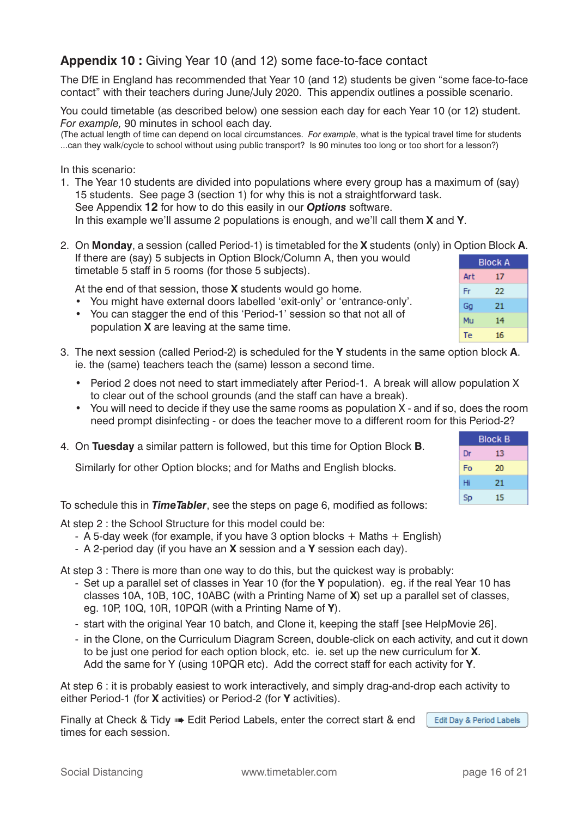# **Appendix 10 :** Giving Year 10 (and 12) some face-to-face contact

The DfE in England has recommended that Year 10 (and 12) students be given "some face-to-face contact" with their teachers during June/July 2020. This appendix outlines a possible scenario.

You could timetable (as described below) one session each day for each Year 10 (or 12) student. *For example,* 90 minutes in school each day.

(The actual length of time can depend on local circumstances. *For example*, what is the typical travel time for students ...can they walk/cycle to school without using public transport? Is 90 minutes too long or too short for a lesson?)

In this scenario:

- 1. The Year 10 students are divided into populations where every group has a maximum of (say) 15 students. See page 3 (section 1) for why this is not a straightforward task. See Appendix **12** for how to do this easily in our *Options* software. In this example we'll assume 2 populations is enough, and we'll call them **X** and **Y**.
- 2. On **Monday**, a session (called Period-1) is timetabled for the **X** students (only) in Option Block **A**. If there are (say) 5 subjects in Option Block/Column A, then you would **Block A** timetable 5 staff in 5 rooms (for those 5 subjects). Art  $17$

At the end of that session, those **X** students would go home.

- You might have external doors labelled 'exit-only' or 'entrance-only'.
- You can stagger the end of this 'Period-1' session so that not all of population **X** are leaving at the same time.
- 3. The next session (called Period-2) is scheduled for the **Y** students in the same option block **A**. ie. the (same) teachers teach the (same) lesson a second time.
	- Period 2 does not need to start immediately after Period-1. A break will allow population X to clear out of the school grounds (and the staff can have a break).
	- You will need to decide if they use the same rooms as population X and if so, does the room need prompt disinfecting - or does the teacher move to a different room for the
- 4. On **Tuesday** a similar pattern is followed, but this time for Option Block **B**.

Similarly for other Option blocks; and for Maths and English blocks.

To schedule this in **TimeTabler**, see the steps on page 6, modified as follows:

At step 2 : the School Structure for this model could be:

- A 5-day week (for example, if you have 3 option blocks + Maths + English)
- A 2-period day (if you have an **X** session and a **Y** session each day).

At step 3 : There is more than one way to do this, but the quickest way is probably:

- Set up a parallel set of classes in Year 10 (for the **Y** population). eg. if the real Year 10 has classes 10A, 10B, 10C, 10ABC (with a Printing Name of **X**) set up a parallel set of classes, eg. 10P, 10Q, 10R, 10PQR (with a Printing Name of **Y**).
- start with the original Year 10 batch, and Clone it, keeping the staff [see HelpMovie 26].
- in the Clone, on the Curriculum Diagram Screen, double-click on each activity, and cut it down to be just one period for each option block, etc. ie. set up the new curriculum for **X**. Add the same for Y (using 10PQR etc). Add the correct staff for each activity for **Y**.

At step 6 : it is probably easiest to work interactively, and simply drag-and-drop each activity to either Period-1 (for **X** activities) or Period-2 (for **Y** activities).

Edit Day & Period Labels Finally at Check & Tidy •• Edit Period Labels, enter the correct start & end times for each session.

|           | าis Period-2?  |
|-----------|----------------|
|           | <b>Block B</b> |
| Dr        | 13             |
| Fo        | 20             |
| Hi        | 21             |
| <b>Sp</b> | 15             |

22

21

14

16

Fr

Go Mu

Te

Social Distancing www.timetabler.com page 16 of 21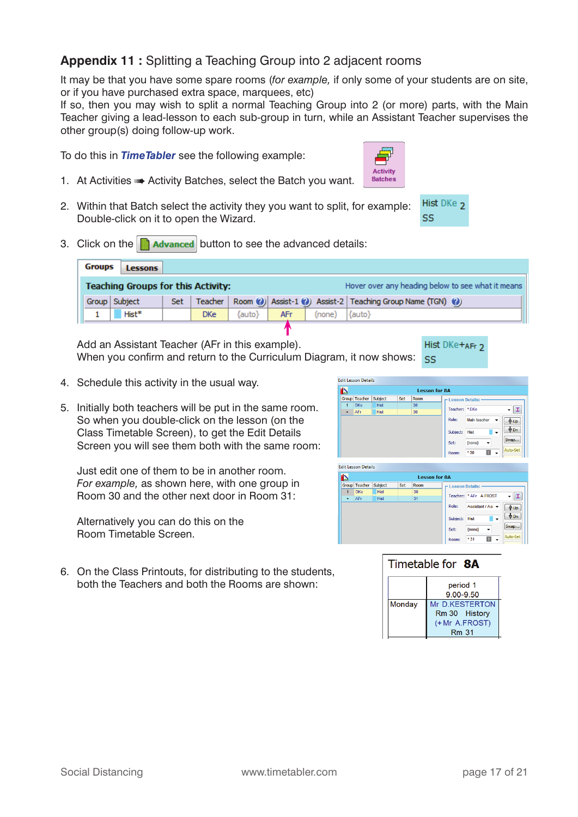# **Appendix 11 :** Splitting a Teaching Group into 2 adjacent rooms

It may be that you have some spare rooms (*for example,* if only some of your students are on site, or if you have purchased extra space, marquees, etc)

If so, then you may wish to split a normal Teaching Group into 2 (or more) parts, with the Main Teacher giving a lead-lesson to each sub-group in turn, while an Assistant Teacher supervises the other group(s) doing follow-up work.

To do this in *TimeTabler* see the following example:

- 1. At Activities **\*\*** Activity Batches, select the Batch you want.
- 2. Within that Batch select the activity they you want to split, for example: Double-click on it to open the Wizard.
- 3. Click on the  $\Box$  **Advanced** button to see the advanced details:

| <b>Groups</b> | <b>Lessons</b>                            |       |            |        |     |        |                                                                              |
|---------------|-------------------------------------------|-------|------------|--------|-----|--------|------------------------------------------------------------------------------|
|               | <b>Teaching Groups for this Activity:</b> |       |            |        |     |        | Hover over any heading below to see what it means                            |
| Group Subject |                                           | Set - |            |        |     |        | Teacher   Room (0)   Assist-1 (0)   Assist-2   Teaching Group Name (TGN) (0) |
|               | Hist*                                     |       | <b>DKe</b> | {auto} | AFr | (none) | $\{$ auto $\}$                                                               |
|               |                                           |       |            |        |     |        |                                                                              |

Hist DKe+AFr 2 Add an Assistant Teacher (AFr in this example). When you confirm and return to the Curriculum Diagram, it now shows:  $\frac{55}{55}$ 

- 4. Schedule this activity in the usual way.
- 5. Initially both teachers will be put in the same room. So when you double-click on the lesson (on the Class Timetable Screen), to get the Edit Details Screen you will see them both with the same room:

 Just edit one of them to be in another room. *For example,* as shown here, with one group in Room 30 and the other next door in Room 31:

 Alternatively you can do this on the Room Timetable Screen.

6. On the Class Printouts, for distributing to the students, both the Teachers and both the Rooms are shown:



Hist DKe<sub>2</sub>

SS

|          | <b>Edit Lesson Details</b> |             |     |                      |                   |                        |          |
|----------|----------------------------|-------------|-----|----------------------|-------------------|------------------------|----------|
| <b>D</b> |                            |             |     | <b>Lesson for 8A</b> |                   |                        |          |
|          | Group Teacher              | Subject     | Set | Room                 | - Lesson Details: |                        |          |
| 1        | <b>DKe</b>                 | <b>Hist</b> |     | 30                   |                   |                        |          |
| ٠        | AFr                        | <b>Hist</b> |     | 31                   |                   | Teacher: * AFr A.FROST |          |
|          |                            |             |     |                      | Role:             | Assistant / As: v      | ∯Up      |
|          |                            |             |     |                      | Subject:          | <b>Hist</b><br>۰       | ∜ Dn     |
|          |                            |             |     |                      | Set:              | ${none}$               | Swap     |
|          |                            |             |     |                      | Room:             | *31                    | Auto-Set |

### Timetable for 8A



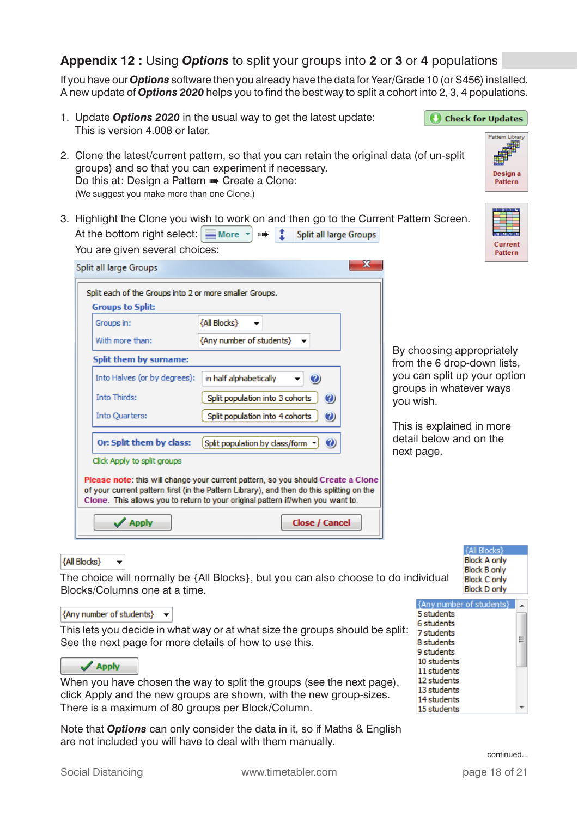### **Appendix 12 :** Using *Options* to split your groups into **2** or **3** or **4** populations

If you have our *Options* software then you already have the data for Year/Grade 10 (or S456) installed. A new update of **Options 2020** helps you to find the best way to split a cohort into 2, 3, 4 populations.

| Pattern Library<br>2. Clone the latest/current pattern, so that you can retain the original data (of un-split<br>groups) and so that you can experiment if necessary.<br>Design a<br>Do this at: Design a Pattern $\Rightarrow$ Create a Clone:<br><b>Pattern</b><br>(We suggest you make more than one Clone.)<br>3. Highlight the Clone you wish to work on and then go to the Current Pattern Screen.<br>At the bottom right select: $\equiv$ More $\sim$<br>÷<br>Split all large Groups<br>$\begin{tabular}{c} \bf 1111 \end{tabular}$<br><b>Current</b><br>You are given several choices:<br><b>Pattern</b><br>х<br>Split all large Groups<br>Split each of the Groups into 2 or more smaller Groups.<br><b>Groups to Split:</b><br>{All Blocks}<br>Groups in:<br>{Any number of students}<br>With more than:<br>By choosing appropriately<br>Split them by surname:<br>from the 6 drop-down lists,<br>you can split up your option<br>Into Halves (or by degrees):<br>in half alphabetically<br>$\mathbf{O}$<br>groups in whatever ways<br><b>Into Thirds:</b><br>Split population into 3 cohorts<br>$\odot$<br>you wish.<br>Into Quarters:<br>Split population into 4 cohorts<br>$\bm{Q}$<br>This is explained in more<br>detail below and on the<br>Or: Split them by class:<br>Split population by class/form v<br>$\mathbf{O}$<br>next page.<br>Click Apply to split groups<br>Please note: this will change your current pattern, so you should Create a Clone<br>of your current pattern first (in the Pattern Library), and then do this splitting on the<br>Clone. This allows you to return to your original pattern if/when you want to.<br><b>Apply</b><br><b>Close / Cancel</b> | 1. Update Options 2020 in the usual way to get the latest update:<br>This is version 4,008 or later. | <b>Check for Updates</b> |
|---------------------------------------------------------------------------------------------------------------------------------------------------------------------------------------------------------------------------------------------------------------------------------------------------------------------------------------------------------------------------------------------------------------------------------------------------------------------------------------------------------------------------------------------------------------------------------------------------------------------------------------------------------------------------------------------------------------------------------------------------------------------------------------------------------------------------------------------------------------------------------------------------------------------------------------------------------------------------------------------------------------------------------------------------------------------------------------------------------------------------------------------------------------------------------------------------------------------------------------------------------------------------------------------------------------------------------------------------------------------------------------------------------------------------------------------------------------------------------------------------------------------------------------------------------------------------------------------------------------------------------------------------------------------------------------------------|------------------------------------------------------------------------------------------------------|--------------------------|
|                                                                                                                                                                                                                                                                                                                                                                                                                                                                                                                                                                                                                                                                                                                                                                                                                                                                                                                                                                                                                                                                                                                                                                                                                                                                                                                                                                                                                                                                                                                                                                                                                                                                                                   |                                                                                                      |                          |
|                                                                                                                                                                                                                                                                                                                                                                                                                                                                                                                                                                                                                                                                                                                                                                                                                                                                                                                                                                                                                                                                                                                                                                                                                                                                                                                                                                                                                                                                                                                                                                                                                                                                                                   |                                                                                                      |                          |
|                                                                                                                                                                                                                                                                                                                                                                                                                                                                                                                                                                                                                                                                                                                                                                                                                                                                                                                                                                                                                                                                                                                                                                                                                                                                                                                                                                                                                                                                                                                                                                                                                                                                                                   |                                                                                                      |                          |

### **{All Blocks}**

The choice will normally be {All Blocks}, but you can also choose to do individual Blocks/Columns one at a time.

#### {Any number of students}  $\rightarrow$

 $\blacktriangledown$ 

This lets you decide in what way or at what size the groups should be split: See the next page for more details of how to use this.

### $\sqrt{$  Apply

When you have chosen the way to split the groups (see the next page), click Apply and the new groups are shown, with the new group-sizes. There is a maximum of 80 groups per Block/Column.

Note that *Options* can only consider the data in it, so if Maths & English are not included you will have to deal with them manually.

| {All Blocks}        |  |
|---------------------|--|
| <b>Block A only</b> |  |
| <b>Block B only</b> |  |
| <b>Block C only</b> |  |
| <b>Block D only</b> |  |
|                     |  |

| {Any number of students} |  |
|--------------------------|--|
| 5 students               |  |
| 6 students               |  |
| 7 students               |  |
| 8 students               |  |
| 9 students               |  |
| 10 students              |  |
| 11 students              |  |
| 12 students              |  |
| 13 students              |  |
| 14 students              |  |
| 15 students              |  |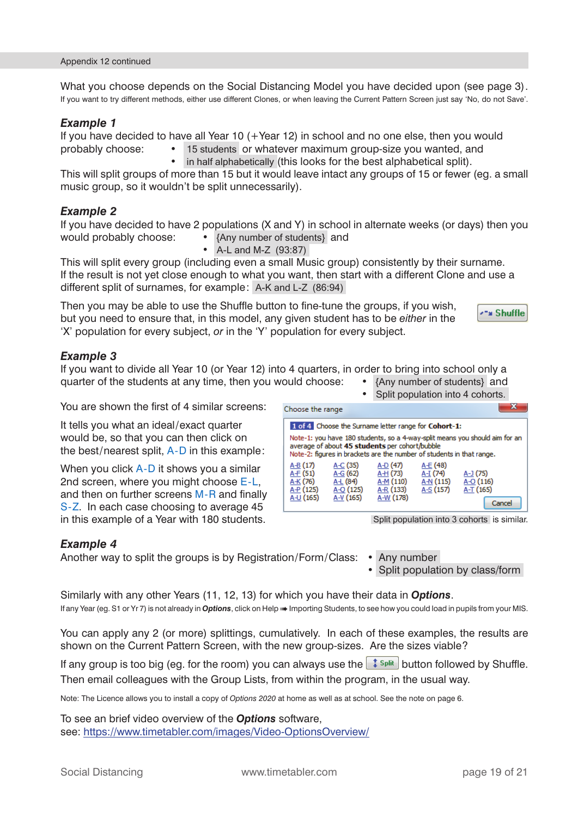What you choose depends on the Social Distancing Model you have decided upon (see page 3). If you want to try different methods, either use different Clones, or when leaving the Current Pattern Screen just say 'No, do not Save'.

#### *Example 1*

If you have decided to have all Year 10 (+Year 12) in school and no one else, then you would probably choose: • 15 students or whatever maximum group-size you wanted, and

in half alphabetically (this looks for the best alphabetical split).

This will split groups of more than 15 but it would leave intact any groups of 15 or fewer (eg. a small music group, so it wouldn't be split unnecessarily).

### *Example 2*

If you have decided to have 2 populations (X and Y) in school in alternate weeks (or days) then you would probably choose: • {Any number of students} and

• A-L and M-Z (93:87)

This will split every group (including even a small Music group) consistently by their surname. If the result is not yet close enough to what you want, then start with a different Clone and use a different split of surnames, for example: A-K and L-Z (86:94)

Then you may be able to use the Shuffle button to fine-tune the groups, if you wish, but you need to ensure that, in this model, any given student has to be *either* in the 'X' population for every subject, *or* in the 'Y' population for every subject.

### *Example 3*

If you want to divide all Year 10 (or Year 12) into 4 quarters, in order to bring into school only a quarter of the students at any time, then you would choose: • {Any number of students} and

You are shown the first of 4 similar screens:

It tells you what an ideal/exact quarter would be, so that you can then click on the best/nearest split, A-D in this example:

When you click A-D it shows you a similar 2nd screen, where you might choose E-L, and then on further screens  $M-R$  and finally S-Z. In each case choosing to average 45 in this example of a Year with 180 students.

### *Example 4*

Another way to split the groups is by Registration/Form/Class: • Any number

- 
- Split population by class/form

Similarly with any other Years (11, 12, 13) for which you have their data in *Options*. If any Year (eg. S1 or Yr 7) is not already in *Options*, click on Help **w** Importing Students, to see how you could load in pupils from your MIS.

You can apply any 2 (or more) splittings, cumulatively. In each of these examples, the results are shown on the Current Pattern Screen, with the new group-sizes. Are the sizes viable?

If any group is too big (eg. for the room) you can always use the  $\frac{1}{2}$  split button followed by Shuffle. Then email colleagues with the Group Lists, from within the program, in the usual way.

Note: The Licence allows you to install a copy of *Options 2020* at home as well as at school. See the note on page 6.

To see an brief video overview of the *Options* software, see: https://www.timetabler.com/images/Video-OptionsOverview/

Choose the range 1 of 4 Choose the Surname letter range for Cohort-1: Note-1: you have 180 students, so a 4-way-split means you should aim for an average of about 45 students per cohort/bubble Note-2: figures in brackets are the number of students in that range. A-B (17) A-C (35) A-D (47) A-E (48)  $\overline{A-G}$  (62)  $A + (51)$  $A + (73)$  $A-I(74)$  $A-1(75)$  $A K (76)$  $\overline{A\pm}$  (84) A-M (110)  $\overline{A-N}$  (115)  $A-O(116)$  $A + (125)$  $A-O(125)$ A-R (133) A-S (157) A-T (165) A-U (165)  $A-V(165)$ A-W (178) Cancel

Split population into 3 cohorts is similar.

Split population into 4 cohorts.

\*\*\* Shuffle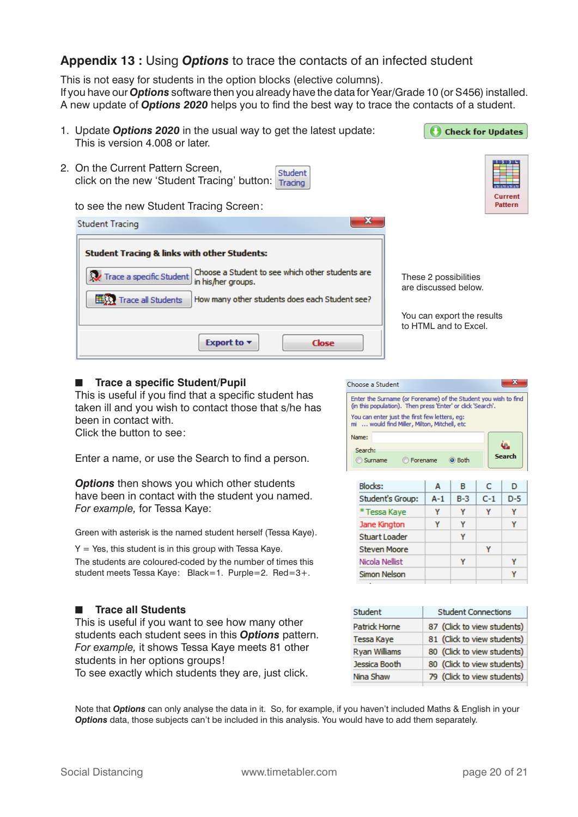### **Appendix 13 :** Using *Options* to trace the contacts of an infected student

This is not easy for students in the option blocks (elective columns). If you have our *Options* software then you already have the data for Year/Grade 10 (or S456) installed. A new update of **Options 2020** helps you to find the best way to trace the contacts of a student.

| 1. Update Options 2020 in the usual way to get the latest update:                                                                                                                                                                                  | <b>Check for Updates</b>                                                                             |
|----------------------------------------------------------------------------------------------------------------------------------------------------------------------------------------------------------------------------------------------------|------------------------------------------------------------------------------------------------------|
| This is version 4.008 or later.                                                                                                                                                                                                                    |                                                                                                      |
| 2. On the Current Pattern Screen,<br>Student<br>click on the new 'Student Tracing' button:<br>Tracing                                                                                                                                              |                                                                                                      |
| to see the new Student Tracing Screen:                                                                                                                                                                                                             | Current<br>Pattern                                                                                   |
| <b>Student Tracing</b>                                                                                                                                                                                                                             |                                                                                                      |
| <b>Student Tracing &amp; links with other Students:</b><br>Choose a Student to see which other students are<br>Trace a specific Student<br>in his/her groups.<br>How many other students does each Student see?<br><b>EESSY</b> Trace all Students | These 2 possibilities<br>are discussed below.<br>You can export the results<br>to HTML and to Excel. |
| Export to $\blacktriangledown$<br>Close                                                                                                                                                                                                            |                                                                                                      |

#### ■ **Trace a specific Student/Pupil**

This is useful if you find that a specific student has taken ill and you wish to contact those that s/he has been in contact with. Click the button to see:

Enter a name, or use the Search to find a person.

**Options** then shows you which other students have been in contact with the student you named. *For example,* for Tessa Kaye:

Green with asterisk is the named student herself (Tessa Kaye).

 $Y = Yes$ , this student is in this group with Tessa Kaye. The students are coloured-coded by the number of times this student meets Tessa Kaye: Black=1. Purple=2. Red=3+.

#### ■ **Trace all Students**

 This is useful if you want to see how many other students each student sees in this *Options* pattern. *For example,* it shows Tessa Kaye meets 81 other students in her options groups!

To see exactly which students they are, just click.



Steven Moore

Nicola Nellist

Simon Nelson

| Student       | <b>Student Connections</b>  |  |  |
|---------------|-----------------------------|--|--|
| Patrick Horne | 87 (Click to view students) |  |  |
| Tessa Kaye    | 81 (Click to view students) |  |  |
| Ryan Williams | 80 (Click to view students) |  |  |
| Jessica Booth | 80 (Click to view students) |  |  |
| Nina Shaw     | 79 (Click to view students) |  |  |
|               |                             |  |  |

 Note that *Options* can only analyse the data in it. So, for example, if you haven't included Maths & English in your *Options* data, those subjects can't be included in this analysis. You would have to add them separately.

Ÿ

Ÿ

Υ

Ÿ